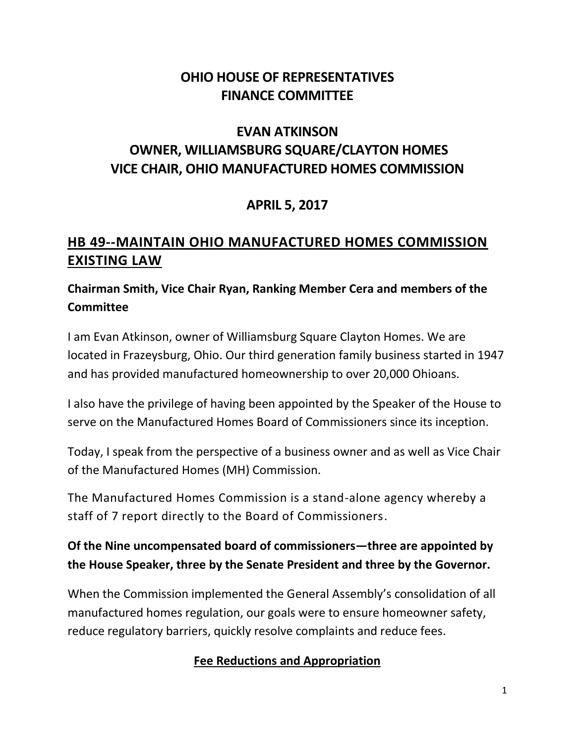## **OHIO HOUSE OF REPRESENTATIVES FINANCE COMMITTEE**

# **EVAN ATKINSON OWNER, WILLIAMSBURG SQUARE/CLAYTON HOMES VICE CHAIR, OHIO MANUFACTURED HOMES COMMISSION**

## **APRIL 5, 2017**

# **HB 49--MAINTAIN OHIO MANUFACTURED HOMES COMMISSION EXISTING LAW**

### **Chairman Smith, Vice Chair Ryan, Ranking Member Cera and members of the Committee**

I am Evan Atkinson, owner of Williamsburg Square Clayton Homes. We are located in Frazeysburg, Ohio. Our third generation family business started in 1947 and has provided manufactured homeownership to over 20,000 Ohioans.

I also have the privilege of having been appointed by the Speaker of the House to serve on the Manufactured Homes Board of Commissioners since its inception.

Today, I speak from the perspective of a business owner and as well as Vice Chair of the Manufactured Homes (MH) Commission.

The Manufactured Homes Commission is a stand-alone agency whereby a staff of 7 report directly to the Board of Commissioners.

#### **Of the Nine uncompensated board of commissioners—three are appointed by the House Speaker, three by the Senate President and three by the Governor.**

When the Commission implemented the General Assembly's consolidation of all manufactured homes regulation, our goals were to ensure homeowner safety, reduce regulatory barriers, quickly resolve complaints and reduce fees.

#### **Fee Reductions and Appropriation**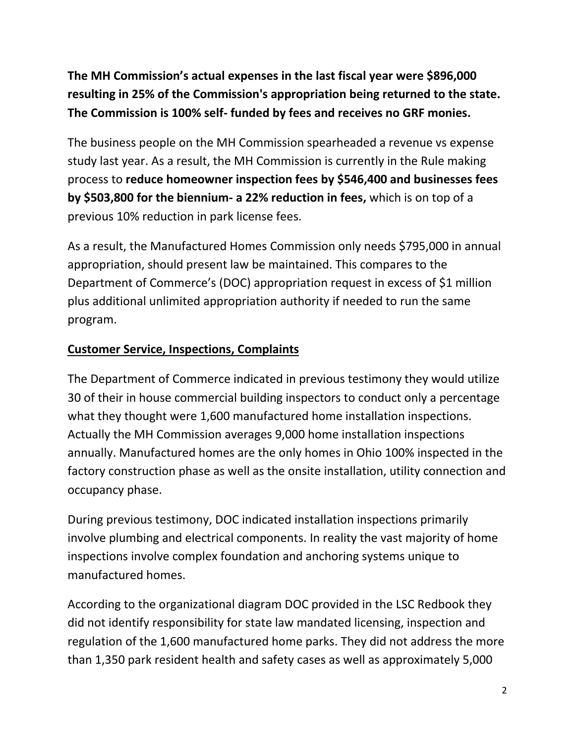**The MH Commission's actual expenses in the last fiscal year were \$896,000 resulting in 25% of the Commission's appropriation being returned to the state. The Commission is 100% self- funded by fees and receives no GRF monies.** 

The business people on the MH Commission spearheaded a revenue vs expense study last year. As a result, the MH Commission is currently in the Rule making process to **reduce homeowner inspection fees by \$546,400 and businesses fees by \$503,800 for the biennium- a 22% reduction in fees,** which is on top of a previous 10% reduction in park license fees.

As a result, the Manufactured Homes Commission only needs \$795,000 in annual appropriation, should present law be maintained. This compares to the Department of Commerce's (DOC) appropriation request in excess of \$1 million plus additional unlimited appropriation authority if needed to run the same program.

#### **Customer Service, Inspections, Complaints**

The Department of Commerce indicated in previous testimony they would utilize 30 of their in house commercial building inspectors to conduct only a percentage what they thought were 1,600 manufactured home installation inspections. Actually the MH Commission averages 9,000 home installation inspections annually. Manufactured homes are the only homes in Ohio 100% inspected in the factory construction phase as well as the onsite installation, utility connection and occupancy phase.

During previous testimony, DOC indicated installation inspections primarily involve plumbing and electrical components. In reality the vast majority of home inspections involve complex foundation and anchoring systems unique to manufactured homes.

According to the organizational diagram DOC provided in the LSC Redbook they did not identify responsibility for state law mandated licensing, inspection and regulation of the 1,600 manufactured home parks. They did not address the more than 1,350 park resident health and safety cases as well as approximately 5,000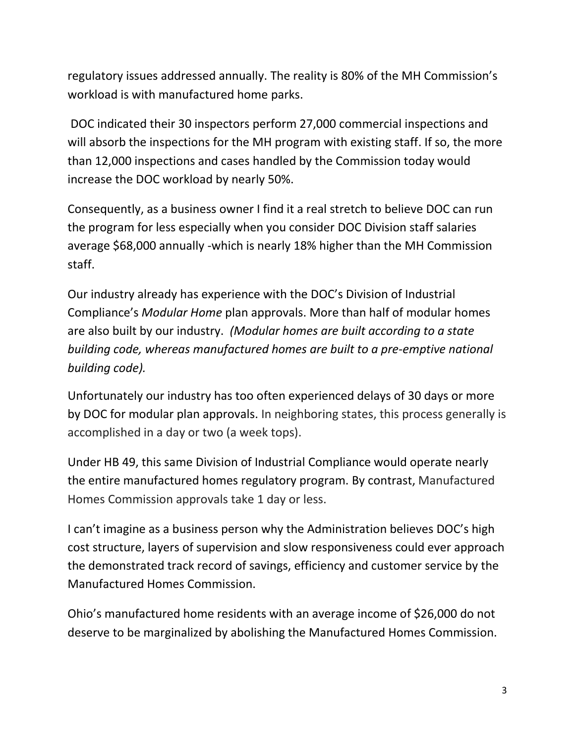regulatory issues addressed annually. The reality is 80% of the MH Commission's workload is with manufactured home parks.

DOC indicated their 30 inspectors perform 27,000 commercial inspections and will absorb the inspections for the MH program with existing staff. If so, the more than 12,000 inspections and cases handled by the Commission today would increase the DOC workload by nearly 50%.

Consequently, as a business owner I find it a real stretch to believe DOC can run the program for less especially when you consider DOC Division staff salaries average \$68,000 annually -which is nearly 18% higher than the MH Commission staff.

Our industry already has experience with the DOC's Division of Industrial Compliance's *Modular Home* plan approvals. More than half of modular homes are also built by our industry. *(Modular homes are built according to a state building code, whereas manufactured homes are built to a pre-emptive national building code).*

Unfortunately our industry has too often experienced delays of 30 days or more by DOC for modular plan approvals. In neighboring states, this process generally is accomplished in a day or two (a week tops).

Under HB 49, this same Division of Industrial Compliance would operate nearly the entire manufactured homes regulatory program. By contrast, Manufactured Homes Commission approvals take 1 day or less.

I can't imagine as a business person why the Administration believes DOC's high cost structure, layers of supervision and slow responsiveness could ever approach the demonstrated track record of savings, efficiency and customer service by the Manufactured Homes Commission.

Ohio's manufactured home residents with an average income of \$26,000 do not deserve to be marginalized by abolishing the Manufactured Homes Commission.